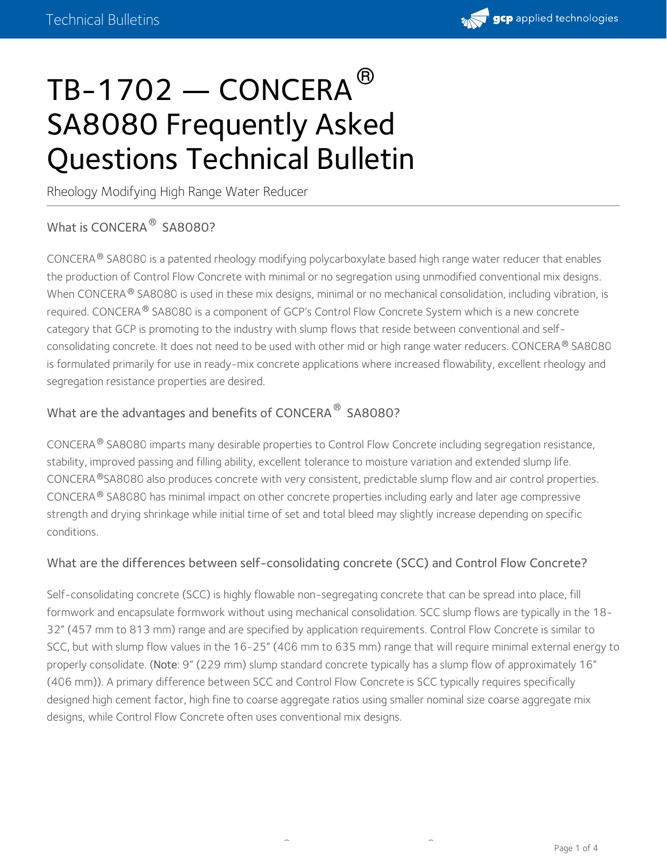

# $\texttt{TB-1702} \boldsymbol{-}\texttt{CONCERA}^\circledR$ SA8080 Frequently Asked Questions Technical Bulletin

Rheology Modifying High Range Water Reducer

# What is CONCERA<sup>®</sup> SA8080?

CONCERA® SA8080 is a patented rheology modifying polycarboxylate based high range water reducer that enables the production of Control Flow Concrete with minimal or no segregation using unmodified conventional mix designs. When CONCERA  $^\circ$  SA8080 is used in these mix designs, minimal or no mechanical consolidation, including vibration, is required. CONCERA  $^\circledR$  SA8080 is a component of GCP's Control Flow Concrete System which is a new concrete category that GCP is promoting to the industry with slump flows that reside between conventional and selfconsolidating concrete. It does not need to be used with other mid or high range water reducers. CONCERA ® SA8080 is formulated primarily for use in ready-mix concrete applications where increased flowability, excellent rheology and segregation resistance properties are desired.

#### What are the advantages and benefits of CONCERA  $^\circledR$  SA8080?

CONCERA ® SA8080 imparts many desirable properties to Control Flow Concrete including segregation resistance, stability, improved passing and filling ability, excellent tolerance to moisture variation and extended slump life. CONCERA ®SA8080 also produces concrete with very consistent, predictable slump flow and air control properties.  $\mathsf{CONCERA}^{\circledast}$  SA8080 has minimal impact on other concrete properties including early and later age compressive strength and drying shrinkage while initial time of set and total bleed may slightly increase depending on specific conditions.

#### What are the differences between self-consolidating concrete (SCC) and Control Flow Concrete?

Self-consolidating concrete (SCC) is highly flowable non-segregating concrete that can be spread into place, fill formwork and encapsulate formwork without using mechanical consolidation. SCC slump flows are typically in the 18- 32" (457 mm to 813 mm) range and are specified by application requirements. Control Flow Concrete is similar to SCC, but with slump flow values in the 16-25" (406 mm to 635 mm) range that will require minimal external energy to properly consolidate. (Note: 9" (229 mm) slump standard concrete typically has a slump flow of approximately 16" (406 mm)). A primary difference between SCC and Control Flow Concrete is SCC typically requires specifically designed high cement factor, high fine to coarse aggregate ratios using smaller nominal size coarse aggregate mix designs, while Control Flow Concrete often uses conventional mix designs.

® ®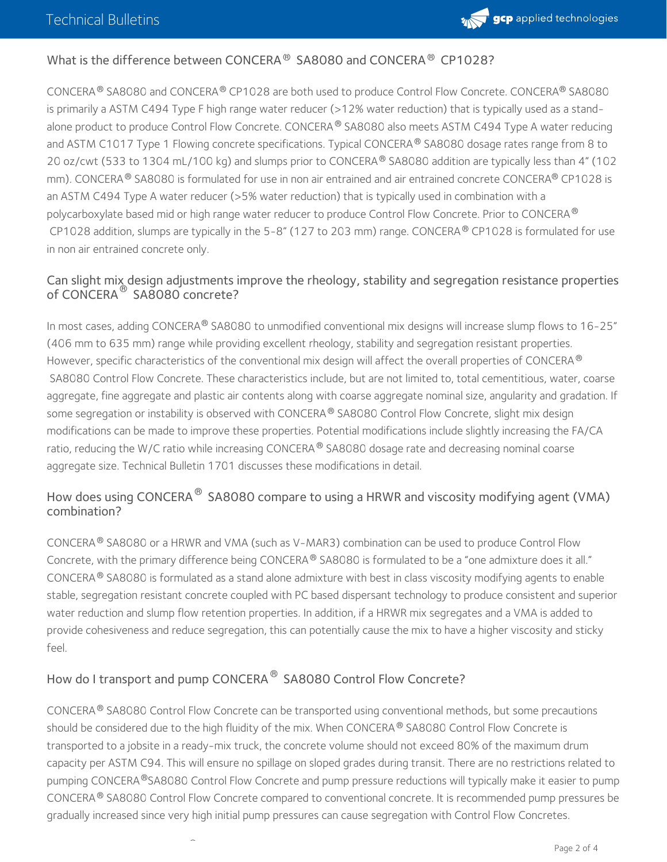

### What is the difference between CONCERA  $^{\circledR}$  SA8080 and CONCERA  $^{\circledR}$  CP1028?

CONCERA® SA8080 and CONCERA® CP1028 are both used to produce Control Flow Concrete. CONCERA® SA8080 is primarily a ASTM C494 Type F high range water reducer (>12% water reduction) that is typically used as a standalone product to produce Control Flow Concrete. CONCERA® SA8080 also meets ASTM C494 Type A water reducing and ASTM C1017 Type 1 Flowing concrete specifications. Typical CONCERA® SA8080 dosage rates range from 8 to 20 oz/cwt (533 to 1304 mL/100 kg) and slumps prior to CONCERA® SA8080 addition are typically less than 4" (102 mm). CONCERA® SA8080 is formulated for use in non air entrained and air entrained concrete CONCERA® CP1028 is an ASTM C494 Type A water reducer (>5% water reduction) that is typically used in combination with a polycarboxylate based mid or high range water reducer to produce Control Flow Concrete. Prior to CONCERA ® CP1028 addition, slumps are typically in the 5-8" (127 to 203 mm) range. CONCERA® CP1028 is formulated for use in non air entrained concrete only.

#### Can slight mix design adjustments improve the rheology, stability and segregation resistance properties of CONCERA $^\circ$  SA8080 concrete?

In most cases, adding CONCERA® SA8080 to unmodified conventional mix designs will increase slump flows to 16-25" (406 mm to635 mm) range while providing excellent rheology, stability and segregation resistant properties. However, specific characteristics of the conventional mix design will affect the overall properties of CONCERA  $^\circledR$ SA8080 Control Flow Concrete. These characteristics include, but are not limited to, total cementitious, water, coarse aggregate, fine aggregate and plastic air contents along with coarse aggregate nominal size, angularity and gradation. If some segregation or instability is observed with CONCERA® SA8080 Control Flow Concrete, slight mix design modifications can be made to improve these properties. Potential modifications include slightly increasing the FA/CA ratio, reducing the W/C ratio while increasing CONCERA® SA8080 dosage rate and decreasing nominal coarse aggregate size. Technical Bulletin 1701 discusses these modifications in detail.

#### How does using CONCERA  $^\circledR$  SA8080 compare to using a HRWR and viscosity modifying agent (VMA) combination?

CONCERA $^{\circledR}$  SA8080 or a HRWR and VMA (such as V-MAR3) combination can be used to produce Control Flow Concrete, with the primary difference being CONCERA  $^\circledR$  SA8080 is formulated to be a "one admixture does it all." CONCERA  $^\circ$  SA8080 is formulated as a stand alone admixture with best in class viscosity modifying agents to enable stable, segregation resistant concrete coupled with PC based dispersant technology to produce consistent and superior water reduction and slump flow retention properties. In addition, if a HRWR mix segregates and a VMA is added to provide cohesiveness and reduce segregation, this can potentially cause the mix to have a higher viscosity and sticky feel.

## How do I transport and pump CONCERA<sup>®</sup> SA8080 Control Flow Concrete?

®

CONCERA<sup>®</sup> SA8080 Control Flow Concrete can be transported using conventional methods, but some precautions should be considered due to the high fluidity of the mix. When CONCERA  $^\circledR$  SA8080 Control Flow Concrete is transported to a jobsite in a ready-mix truck, the concrete volume should not exceed 80% of the maximum drum capacity per ASTM C94. This will ensure no spillage on sloped grades during transit. There are no restrictions related to pumping CONCERA®SA8080 Control Flow Concrete and pump pressure reductions will typically make it easier to pump CONCERA® SA8080 Control Flow Concrete compared to conventional concrete. It is recommended pump pressures be gradually increased since very high initial pump pressures can cause segregation with Control Flow Concretes.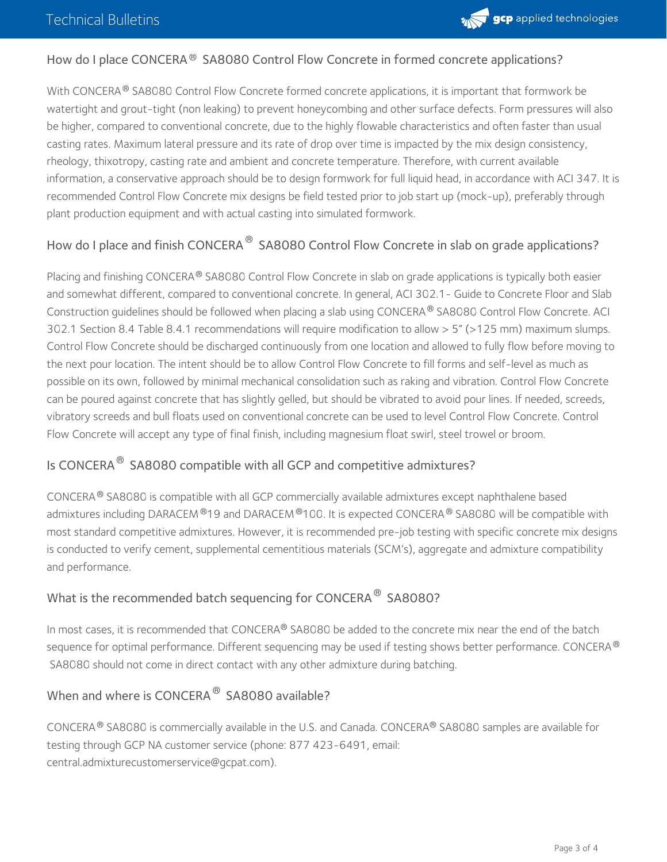

#### How do I place CONCERA ® SA8080 Control Flow Concrete in formed concrete applications?

With CONCERA  $^\circ$  SA8080 Control Flow Concrete formed concrete applications, it is important that formwork be watertight and grout-tight (non leaking) to prevent honeycombing and other surface defects. Form pressures will also be higher, compared to conventional concrete, due to the highly flowable characteristics and often faster than usual casting rates. Maximum lateral pressure and its rate of drop over time is impacted by the mix design consistency, rheology, thixotropy, casting rate and ambient and concrete temperature. Therefore, with current available information, a conservative approach should be to design formwork for full liquid head, in accordance with ACI 347. It is recommended Control Flow Concrete mix designs be field tested prior to job start up (mock-up), preferably through plant production equipment and with actual casting into simulated formwork.

#### How do I place and finish CONCERA  $^\circledR$  SA8080 Control Flow Concrete in slab on grade applications?

Placing and finishing CONCERA® SA8080 Control Flow Concrete in slab on grade applications is typically both easier and somewhat different, compared to conventional concrete. In general, ACI 302.1- Guide to Concrete Floor and Slab Construction guidelines should be followed when placing a slab using CONCERA® SA8080 Control Flow Concrete. ACI 302.1 Section 8.4 Table 8.4.1 recommendations will require modification to allow > 5"(>125 mm) maximum slumps. Control Flow Concrete should be discharged continuously from one location and allowed to fully flow before moving to the next pour location. The intent should be to allow Control Flow Concrete to fill forms and self-level as much as possible on its own, followed by minimal mechanical consolidation such as raking and vibration. Control Flow Concrete can be poured against concrete that has slightly gelled, but should be vibrated to avoid pour lines. If needed, screeds, vibratory screeds and bull floats used on conventional concrete can be used to level Control Flow Concrete. Control Flow Concrete will accept any type of final finish, including magnesium float swirl, steel trowel or broom.

### Is CONCERA $^{\circledR}$  SA8080 compatible with all GCP and competitive admixtures?

 $\mathsf{CONCERA}^{\circledast}$  SA8080 is compatible with all GCP commercially available admixtures except naphthalene based admixtures including DARACEM  $^{\circledR}$ 19 and DARACEM  $^{\circledR}$ 100. It is expected CONCERA  $^{\circledR}$  SA8080 will be compatible with most standard competitive admixtures. However, it is recommended pre-job testing with specific concrete mix designs is conducted to verify cement, supplemental cementitious materials (SCM's), aggregate and admixture compatibility and performance.

## What is the recommended batch sequencing for CONCERA  $^\circledR$  SA8080?

In most cases, it is recommended that CONCERA® SA8080 be added to the concrete mix near the end of the batch sequence for optimal performance. Different sequencing may be used if testing shows better performance. CONCERA ® SA8080 should not come in direct contact with any other admixture during batching.

## When and where is CONCERA $^{\circledR}$  SA8080 available?

CONCERA ® SA8080 is commercially available in the U.S. and Canada. CONCERA® SA8080 samples are available for testing through GCP NA customer service (phone: 877 423-6491, email: [central.admixturecustomerservice@gcpat.com](mailto:central.admixturecustomerservice@gcpat.com)).